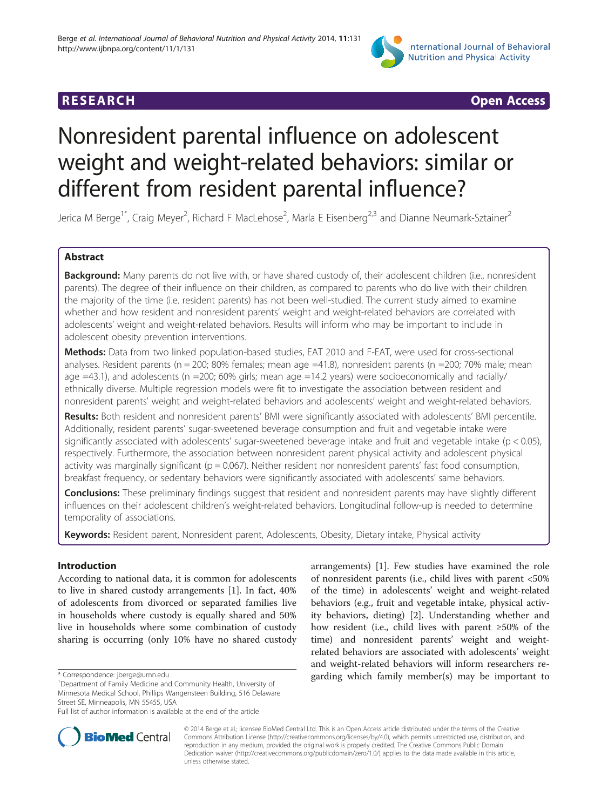

**RESEARCH RESEARCH CONSUMING ACCESS** 

# Nonresident parental influence on adolescent weight and weight-related behaviors: similar or different from resident parental influence?

Jerica M Berge<sup>1\*</sup>, Craig Meyer<sup>2</sup>, Richard F MacLehose<sup>2</sup>, Marla E Eisenberg<sup>2,3</sup> and Dianne Neumark-Sztainer<sup>2</sup>

# Abstract

Background: Many parents do not live with, or have shared custody of, their adolescent children (i.e., nonresident parents). The degree of their influence on their children, as compared to parents who do live with their children the majority of the time (i.e. resident parents) has not been well-studied. The current study aimed to examine whether and how resident and nonresident parents' weight and weight-related behaviors are correlated with adolescents' weight and weight-related behaviors. Results will inform who may be important to include in adolescent obesity prevention interventions.

Methods: Data from two linked population-based studies, EAT 2010 and F-EAT, were used for cross-sectional analyses. Resident parents (n = 200; 80% females; mean age =41.8), nonresident parents (n =200; 70% male; mean age  $=43.1$ ), and adolescents (n  $=200$ ; 60% girls; mean age  $=14.2$  years) were socioeconomically and racially/ ethnically diverse. Multiple regression models were fit to investigate the association between resident and nonresident parents' weight and weight-related behaviors and adolescents' weight and weight-related behaviors.

Results: Both resident and nonresident parents' BMI were significantly associated with adolescents' BMI percentile. Additionally, resident parents' sugar-sweetened beverage consumption and fruit and vegetable intake were significantly associated with adolescents' sugar-sweetened beverage intake and fruit and vegetable intake ( $p < 0.05$ ), respectively. Furthermore, the association between nonresident parent physical activity and adolescent physical activity was marginally significant ( $p = 0.067$ ). Neither resident nor nonresident parents' fast food consumption, breakfast frequency, or sedentary behaviors were significantly associated with adolescents' same behaviors.

Conclusions: These preliminary findings suggest that resident and nonresident parents may have slightly different influences on their adolescent children's weight-related behaviors. Longitudinal follow-up is needed to determine temporality of associations.

Keywords: Resident parent, Nonresident parent, Adolescents, Obesity, Dietary intake, Physical activity

# Introduction

According to national data, it is common for adolescents to live in shared custody arrangements [[1\]](#page-6-0). In fact, 40% of adolescents from divorced or separated families live in households where custody is equally shared and 50% live in households where some combination of custody sharing is occurring (only 10% have no shared custody

arrangements) [\[1](#page-6-0)]. Few studies have examined the role of nonresident parents (i.e., child lives with parent <50% of the time) in adolescents' weight and weight-related behaviors (e.g., fruit and vegetable intake, physical activity behaviors, dieting) [[2\]](#page-6-0). Understanding whether and how resident (i.e., child lives with parent ≥50% of the time) and nonresident parents' weight and weightrelated behaviors are associated with adolescents' weight and weight-related behaviors will inform researchers re- \* Correspondence: [jberge@umn.edu](mailto:jberge@umn.edu) garding which family member(s) may be important to <sup>1</sup>



© 2014 Berge et al.; licensee BioMed Central Ltd. This is an Open Access article distributed under the terms of the Creative Commons Attribution License [\(http://creativecommons.org/licenses/by/4.0\)](http://creativecommons.org/licenses/by/4.0), which permits unrestricted use, distribution, and reproduction in any medium, provided the original work is properly credited. The Creative Commons Public Domain Dedication waiver [\(http://creativecommons.org/publicdomain/zero/1.0/](http://creativecommons.org/publicdomain/zero/1.0/)) applies to the data made available in this article, unless otherwise stated.

Department of Family Medicine and Community Health, University of Minnesota Medical School, Phillips Wangensteen Building, 516 Delaware Street SE, Minneapolis, MN 55455, USA

Full list of author information is available at the end of the article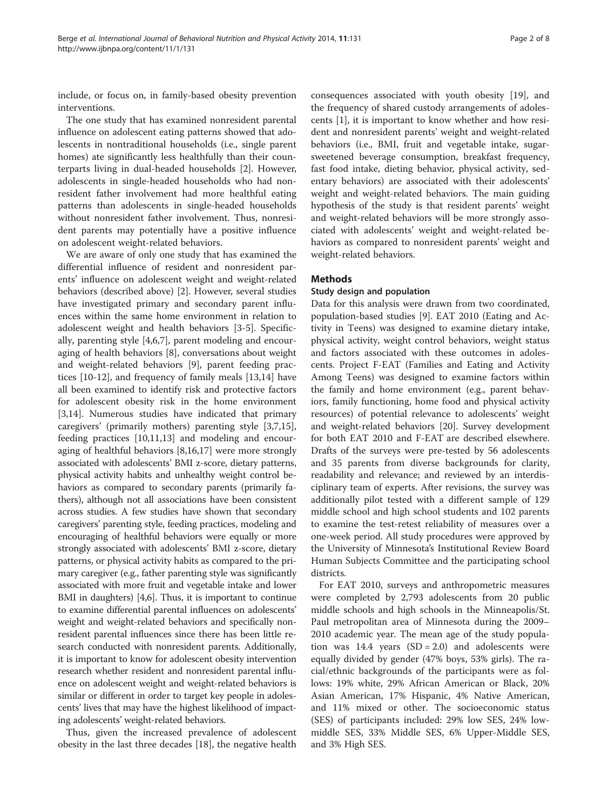include, or focus on, in family-based obesity prevention interventions.

The one study that has examined nonresident parental influence on adolescent eating patterns showed that adolescents in nontraditional households (i.e., single parent homes) ate significantly less healthfully than their counterparts living in dual-headed households [\[2](#page-6-0)]. However, adolescents in single-headed households who had nonresident father involvement had more healthful eating patterns than adolescents in single-headed households without nonresident father involvement. Thus, nonresident parents may potentially have a positive influence on adolescent weight-related behaviors.

We are aware of only one study that has examined the differential influence of resident and nonresident parents' influence on adolescent weight and weight-related behaviors (described above) [[2\]](#page-6-0). However, several studies have investigated primary and secondary parent influences within the same home environment in relation to adolescent weight and health behaviors [\[3](#page-6-0)-[5\]](#page-6-0). Specifically, parenting style [[4](#page-6-0),[6,7\]](#page-6-0), parent modeling and encouraging of health behaviors [[8](#page-6-0)], conversations about weight and weight-related behaviors [[9](#page-6-0)], parent feeding practices [\[10](#page-6-0)-[12\]](#page-6-0), and frequency of family meals [[13,14\]](#page-6-0) have all been examined to identify risk and protective factors for adolescent obesity risk in the home environment [[3,14\]](#page-6-0). Numerous studies have indicated that primary caregivers' (primarily mothers) parenting style [\[3,7](#page-6-0)[,15](#page-7-0)], feeding practices [[10,11,13\]](#page-6-0) and modeling and encouraging of healthful behaviors [\[8](#page-6-0)[,16,17](#page-7-0)] were more strongly associated with adolescents' BMI z-score, dietary patterns, physical activity habits and unhealthy weight control behaviors as compared to secondary parents (primarily fathers), although not all associations have been consistent across studies. A few studies have shown that secondary caregivers' parenting style, feeding practices, modeling and encouraging of healthful behaviors were equally or more strongly associated with adolescents' BMI z-score, dietary patterns, or physical activity habits as compared to the primary caregiver (e.g., father parenting style was significantly associated with more fruit and vegetable intake and lower BMI in daughters) [\[4,6\]](#page-6-0). Thus, it is important to continue to examine differential parental influences on adolescents' weight and weight-related behaviors and specifically nonresident parental influences since there has been little research conducted with nonresident parents. Additionally, it is important to know for adolescent obesity intervention research whether resident and nonresident parental influence on adolescent weight and weight-related behaviors is similar or different in order to target key people in adolescents' lives that may have the highest likelihood of impacting adolescents' weight-related behaviors.

Thus, given the increased prevalence of adolescent obesity in the last three decades [[18](#page-7-0)], the negative health

consequences associated with youth obesity [[19\]](#page-7-0), and the frequency of shared custody arrangements of adolescents [\[1](#page-6-0)], it is important to know whether and how resident and nonresident parents' weight and weight-related behaviors (i.e., BMI, fruit and vegetable intake, sugarsweetened beverage consumption, breakfast frequency, fast food intake, dieting behavior, physical activity, sedentary behaviors) are associated with their adolescents' weight and weight-related behaviors. The main guiding hypothesis of the study is that resident parents' weight and weight-related behaviors will be more strongly associated with adolescents' weight and weight-related behaviors as compared to nonresident parents' weight and weight-related behaviors.

# Methods

# Study design and population

Data for this analysis were drawn from two coordinated, population-based studies [[9\]](#page-6-0). EAT 2010 (Eating and Activity in Teens) was designed to examine dietary intake, physical activity, weight control behaviors, weight status and factors associated with these outcomes in adolescents. Project F-EAT (Families and Eating and Activity Among Teens) was designed to examine factors within the family and home environment (e.g., parent behaviors, family functioning, home food and physical activity resources) of potential relevance to adolescents' weight and weight-related behaviors [[20\]](#page-7-0). Survey development for both EAT 2010 and F-EAT are described elsewhere. Drafts of the surveys were pre-tested by 56 adolescents and 35 parents from diverse backgrounds for clarity, readability and relevance; and reviewed by an interdisciplinary team of experts. After revisions, the survey was additionally pilot tested with a different sample of 129 middle school and high school students and 102 parents to examine the test-retest reliability of measures over a one-week period. All study procedures were approved by the University of Minnesota's Institutional Review Board Human Subjects Committee and the participating school districts.

For EAT 2010, surveys and anthropometric measures were completed by 2,793 adolescents from 20 public middle schools and high schools in the Minneapolis/St. Paul metropolitan area of Minnesota during the 2009– 2010 academic year. The mean age of the study population was 14.4 years  $(SD = 2.0)$  and adolescents were equally divided by gender (47% boys, 53% girls). The racial/ethnic backgrounds of the participants were as follows: 19% white, 29% African American or Black, 20% Asian American, 17% Hispanic, 4% Native American, and 11% mixed or other. The socioeconomic status (SES) of participants included: 29% low SES, 24% lowmiddle SES, 33% Middle SES, 6% Upper-Middle SES, and 3% High SES.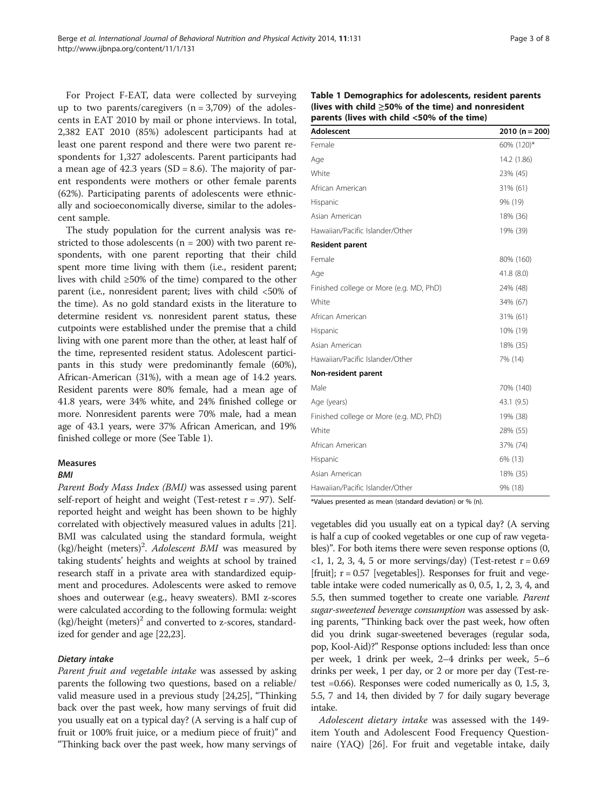For Project F-EAT, data were collected by surveying up to two parents/caregivers  $(n = 3,709)$  of the adolescents in EAT 2010 by mail or phone interviews. In total, 2,382 EAT 2010 (85%) adolescent participants had at least one parent respond and there were two parent respondents for 1,327 adolescents. Parent participants had a mean age of  $42.3$  years (SD = 8.6). The majority of parent respondents were mothers or other female parents (62%). Participating parents of adolescents were ethnically and socioeconomically diverse, similar to the adolescent sample.

The study population for the current analysis was restricted to those adolescents ( $n = 200$ ) with two parent respondents, with one parent reporting that their child spent more time living with them (i.e., resident parent; lives with child ≥50% of the time) compared to the other parent (i.e., nonresident parent; lives with child <50% of the time). As no gold standard exists in the literature to determine resident vs. nonresident parent status, these cutpoints were established under the premise that a child living with one parent more than the other, at least half of the time, represented resident status. Adolescent participants in this study were predominantly female (60%), African-American (31%), with a mean age of 14.2 years. Resident parents were 80% female, had a mean age of 41.8 years, were 34% white, and 24% finished college or more. Nonresident parents were 70% male, had a mean age of 43.1 years, were 37% African American, and 19% finished college or more (See Table 1).

# Measures

# **BMI**

Parent Body Mass Index (BMI) was assessed using parent self-report of height and weight (Test-retest  $r = .97$ ). Selfreported height and weight has been shown to be highly correlated with objectively measured values in adults [[21](#page-7-0)]. BMI was calculated using the standard formula, weight (kg)/height (meters)<sup>2</sup>. Adolescent BMI was measured by taking students' heights and weights at school by trained research staff in a private area with standardized equipment and procedures. Adolescents were asked to remove shoes and outerwear (e.g., heavy sweaters). BMI z-scores were calculated according to the following formula: weight  $(kg)/height$  (meters)<sup>2</sup> and converted to z-scores, standardized for gender and age [[22,23\]](#page-7-0).

# Dietary intake

Parent fruit and vegetable intake was assessed by asking parents the following two questions, based on a reliable/ valid measure used in a previous study [[24,25](#page-7-0)], "Thinking back over the past week, how many servings of fruit did you usually eat on a typical day? (A serving is a half cup of fruit or 100% fruit juice, or a medium piece of fruit)" and "Thinking back over the past week, how many servings of

| Table 1 Demographics for adolescents, resident parents |
|--------------------------------------------------------|
| (lives with child $>50\%$ of the time) and nonresident |
| parents (lives with child <50% of the time)            |

| Adolescent                              | $2010(n = 200)$ |
|-----------------------------------------|-----------------|
| Female                                  | 60% (120)*      |
| Age                                     | 14.2 (1.86)     |
| White                                   | 23% (45)        |
| African American                        | 31% (61)        |
| Hispanic                                | 9% (19)         |
| Asian American                          | 18% (36)        |
| Hawaiian/Pacific Islander/Other         | 19% (39)        |
| <b>Resident parent</b>                  |                 |
| Female                                  | 80% (160)       |
| Age                                     | 41.8 (8.0)      |
| Finished college or More (e.g. MD, PhD) | 24% (48)        |
| White                                   | 34% (67)        |
| African American                        | 31% (61)        |
| Hispanic                                | 10% (19)        |
| Asian American                          | 18% (35)        |
| Hawaiian/Pacific Islander/Other         | 7% (14)         |
| Non-resident parent                     |                 |
| Male                                    | 70% (140)       |
| Age (years)                             | 43.1 (9.5)      |
| Finished college or More (e.g. MD, PhD) | 19% (38)        |
| White                                   | 28% (55)        |
| African American                        | 37% (74)        |
| Hispanic                                | 6% (13)         |
| Asian American                          | 18% (35)        |
| Hawaiian/Pacific Islander/Other         | 9% (18)         |

\*Values presented as mean (standard deviation) or % (n).

vegetables did you usually eat on a typical day? (A serving is half a cup of cooked vegetables or one cup of raw vegetables)". For both items there were seven response options (0,  $\langle 1, 1, 2, 3, 4, 5 \text{ or more servings/day} \rangle$  (Test-retest r = 0.69 [fruit];  $r = 0.57$  [vegetables]). Responses for fruit and vegetable intake were coded numerically as 0, 0.5, 1, 2, 3, 4, and 5.5, then summed together to create one variable. Parent sugar-sweetened beverage consumption was assessed by asking parents, "Thinking back over the past week, how often did you drink sugar-sweetened beverages (regular soda, pop, Kool-Aid)?" Response options included: less than once per week, 1 drink per week, 2–4 drinks per week, 5–6 drinks per week, 1 per day, or 2 or more per day (Test-retest =0.66). Responses were coded numerically as 0, 1.5, 3, 5.5, 7 and 14, then divided by 7 for daily sugary beverage intake.

Adolescent dietary intake was assessed with the 149 item Youth and Adolescent Food Frequency Questionnaire (YAQ) [[26\]](#page-7-0). For fruit and vegetable intake, daily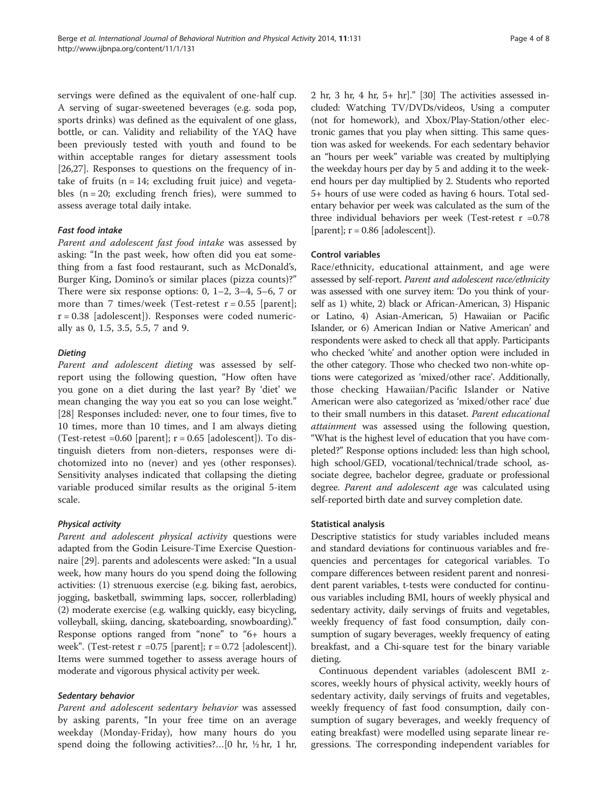servings were defined as the equivalent of one-half cup. A serving of sugar-sweetened beverages (e.g. soda pop, sports drinks) was defined as the equivalent of one glass, bottle, or can. Validity and reliability of the YAQ have been previously tested with youth and found to be within acceptable ranges for dietary assessment tools [[26,27\]](#page-7-0). Responses to questions on the frequency of intake of fruits  $(n = 14;$  excluding fruit juice) and vegetables  $(n = 20;$  excluding french fries), were summed to assess average total daily intake.

# Fast food intake

Parent and adolescent fast food intake was assessed by asking: "In the past week, how often did you eat something from a fast food restaurant, such as McDonald's, Burger King, Domino's or similar places (pizza counts)?" There were six response options:  $0, 1-2, 3-4, 5-6, 7$  or more than 7 times/week (Test-retest  $r = 0.55$  [parent];  $r = 0.38$  [adolescent]). Responses were coded numerically as 0, 1.5, 3.5, 5.5, 7 and 9.

#### **Dieting**

Parent and adolescent dieting was assessed by selfreport using the following question, "How often have you gone on a diet during the last year? By 'diet' we mean changing the way you eat so you can lose weight." [[28\]](#page-7-0) Responses included: never, one to four times, five to 10 times, more than 10 times, and I am always dieting (Test-retest =  $0.60$  [parent]; r =  $0.65$  [adolescent]). To distinguish dieters from non-dieters, responses were dichotomized into no (never) and yes (other responses). Sensitivity analyses indicated that collapsing the dieting variable produced similar results as the original 5-item scale.

# Physical activity

Parent and adolescent physical activity questions were adapted from the Godin Leisure-Time Exercise Questionnaire [[29](#page-7-0)]. parents and adolescents were asked: "In a usual week, how many hours do you spend doing the following activities: (1) strenuous exercise (e.g. biking fast, aerobics, jogging, basketball, swimming laps, soccer, rollerblading) (2) moderate exercise (e.g. walking quickly, easy bicycling, volleyball, skiing, dancing, skateboarding, snowboarding)." Response options ranged from "none" to "6+ hours a week". (Test-retest  $r = 0.75$  [parent];  $r = 0.72$  [adolescent]). Items were summed together to assess average hours of moderate and vigorous physical activity per week.

### Sedentary behavior

Parent and adolescent sedentary behavior was assessed by asking parents, "In your free time on an average weekday (Monday-Friday), how many hours do you spend doing the following activities?...[0 hr,  $\frac{1}{2}$  hr, 1 hr, 2 hr, 3 hr, 4 hr, 5+ hr]." [\[30](#page-7-0)] The activities assessed included: Watching TV/DVDs/videos, Using a computer (not for homework), and Xbox/Play-Station/other electronic games that you play when sitting. This same question was asked for weekends. For each sedentary behavior an "hours per week" variable was created by multiplying the weekday hours per day by 5 and adding it to the weekend hours per day multiplied by 2. Students who reported 5+ hours of use were coded as having 6 hours. Total sedentary behavior per week was calculated as the sum of the three individual behaviors per week (Test-retest  $r = 0.78$ [parent];  $r = 0.86$  [adolescent]).

# Control variables

Race/ethnicity, educational attainment, and age were assessed by self-report. Parent and adolescent race/ethnicity was assessed with one survey item: 'Do you think of yourself as 1) white, 2) black or African-American, 3) Hispanic or Latino, 4) Asian-American, 5) Hawaiian or Pacific Islander, or 6) American Indian or Native American' and respondents were asked to check all that apply. Participants who checked 'white' and another option were included in the other category. Those who checked two non-white options were categorized as 'mixed/other race'. Additionally, those checking Hawaiian/Pacific Islander or Native American were also categorized as 'mixed/other race' due to their small numbers in this dataset. Parent educational attainment was assessed using the following question, "What is the highest level of education that you have completed?" Response options included: less than high school, high school/GED, vocational/technical/trade school, associate degree, bachelor degree, graduate or professional degree. Parent and adolescent age was calculated using self-reported birth date and survey completion date.

#### Statistical analysis

Descriptive statistics for study variables included means and standard deviations for continuous variables and frequencies and percentages for categorical variables. To compare differences between resident parent and nonresident parent variables, t-tests were conducted for continuous variables including BMI, hours of weekly physical and sedentary activity, daily servings of fruits and vegetables, weekly frequency of fast food consumption, daily consumption of sugary beverages, weekly frequency of eating breakfast, and a Chi-square test for the binary variable dieting.

Continuous dependent variables (adolescent BMI zscores, weekly hours of physical activity, weekly hours of sedentary activity, daily servings of fruits and vegetables, weekly frequency of fast food consumption, daily consumption of sugary beverages, and weekly frequency of eating breakfast) were modelled using separate linear regressions. The corresponding independent variables for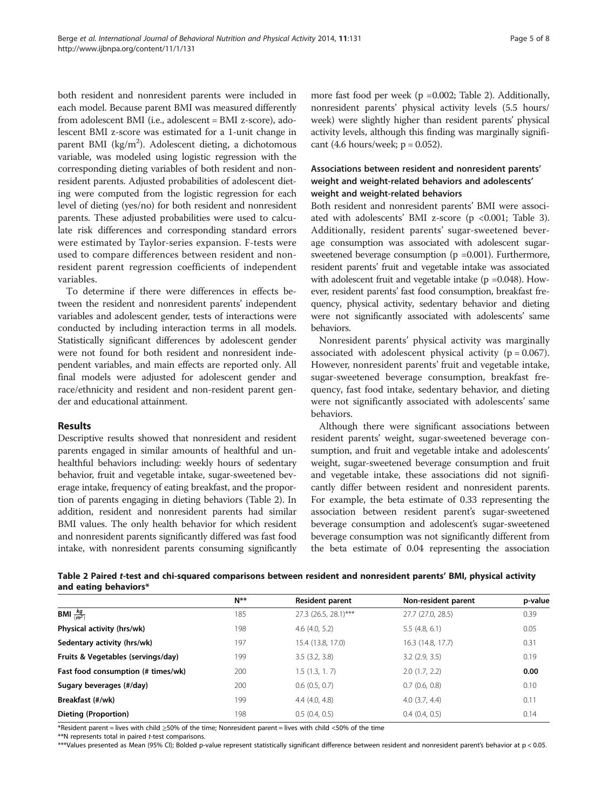both resident and nonresident parents were included in each model. Because parent BMI was measured differently from adolescent BMI (i.e., adolescent = BMI z-score), adolescent BMI z-score was estimated for a 1-unit change in parent BMI (kg/m<sup>2</sup>). Adolescent dieting, a dichotomous variable, was modeled using logistic regression with the corresponding dieting variables of both resident and nonresident parents. Adjusted probabilities of adolescent dieting were computed from the logistic regression for each level of dieting (yes/no) for both resident and nonresident parents. These adjusted probabilities were used to calculate risk differences and corresponding standard errors were estimated by Taylor-series expansion. F-tests were used to compare differences between resident and nonresident parent regression coefficients of independent variables.

To determine if there were differences in effects between the resident and nonresident parents' independent variables and adolescent gender, tests of interactions were conducted by including interaction terms in all models. Statistically significant differences by adolescent gender were not found for both resident and nonresident independent variables, and main effects are reported only. All final models were adjusted for adolescent gender and race/ethnicity and resident and non-resident parent gender and educational attainment.

# Results

Descriptive results showed that nonresident and resident parents engaged in similar amounts of healthful and unhealthful behaviors including: weekly hours of sedentary behavior, fruit and vegetable intake, sugar-sweetened beverage intake, frequency of eating breakfast, and the proportion of parents engaging in dieting behaviors (Table 2). In addition, resident and nonresident parents had similar BMI values. The only health behavior for which resident and nonresident parents significantly differed was fast food intake, with nonresident parents consuming significantly

more fast food per week (p =0.002; Table 2). Additionally, nonresident parents' physical activity levels (5.5 hours/ week) were slightly higher than resident parents' physical activity levels, although this finding was marginally significant (4.6 hours/week;  $p = 0.052$ ).

# Associations between resident and nonresident parents' weight and weight-related behaviors and adolescents' weight and weight-related behaviors

Both resident and nonresident parents' BMI were associated with adolescents' BMI z-score ( $p < 0.001$ ; Table [3](#page-5-0)). Additionally, resident parents' sugar-sweetened beverage consumption was associated with adolescent sugarsweetened beverage consumption  $(p = 0.001)$ . Furthermore, resident parents' fruit and vegetable intake was associated with adolescent fruit and vegetable intake  $(p = 0.048)$ . However, resident parents' fast food consumption, breakfast frequency, physical activity, sedentary behavior and dieting were not significantly associated with adolescents' same behaviors.

Nonresident parents' physical activity was marginally associated with adolescent physical activity ( $p = 0.067$ ). However, nonresident parents' fruit and vegetable intake, sugar-sweetened beverage consumption, breakfast frequency, fast food intake, sedentary behavior, and dieting were not significantly associated with adolescents' same behaviors.

Although there were significant associations between resident parents' weight, sugar-sweetened beverage consumption, and fruit and vegetable intake and adolescents' weight, sugar-sweetened beverage consumption and fruit and vegetable intake, these associations did not significantly differ between resident and nonresident parents. For example, the beta estimate of 0.33 representing the association between resident parent's sugar-sweetened beverage consumption and adolescent's sugar-sweetened beverage consumption was not significantly different from the beta estimate of 0.04 representing the association

|                       |  | Table 2 Paired t-test and chi-squared comparisons between resident and nonresident parents' BMI, physical activity |
|-----------------------|--|--------------------------------------------------------------------------------------------------------------------|
| and eating behaviors* |  |                                                                                                                    |

|                                    | $N^{\ast\ast}$ | <b>Resident parent</b> | Non-resident parent | p-value |
|------------------------------------|----------------|------------------------|---------------------|---------|
| <b>BMI</b> $\frac{kg}{(m^2)}$      | 185            | 27.3 (26.5, 28.1)***   | 27.7 (27.0, 28.5)   | 0.39    |
| Physical activity (hrs/wk)         | 198            | $4.6$ $(4.0, 5.2)$     | 5.5(4.8, 6.1)       | 0.05    |
| Sedentary activity (hrs/wk)        | 197            | 15.4 (13.8, 17.0)      | 16.3 (14.8, 17.7)   | 0.31    |
| Fruits & Vegetables (servings/day) | 199            | 3.5(3.2, 3.8)          | $3.2$ (2.9, 3.5)    | 0.19    |
| Fast food consumption (# times/wk) | 200            | 1.5(1.3, 1.7)          | 2.0(1.7, 2.2)       | 0.00    |
| Sugary beverages (#/day)           | 200            | $0.6$ $(0.5, 0.7)$     | 0.7(0.6, 0.8)       | 0.10    |
| Breakfast (#/wk)                   | 199            | 4.4(4.0, 4.8)          | $4.0$ $(3.7, 4.4)$  | 0.11    |
| Dieting (Proportion)               | 198            | 0.5(0.4, 0.5)          | 0.4(0.4, 0.5)       | 0.14    |

\*Resident parent = lives with child ≥50% of the time; Nonresident parent = lives with child <50% of the time

\*\*N represents total in paired t-test comparisons.

\*\*\*Values presented as Mean (95% CI); Bolded p-value represent statistically significant difference between resident and nonresident parent's behavior at p < 0.05.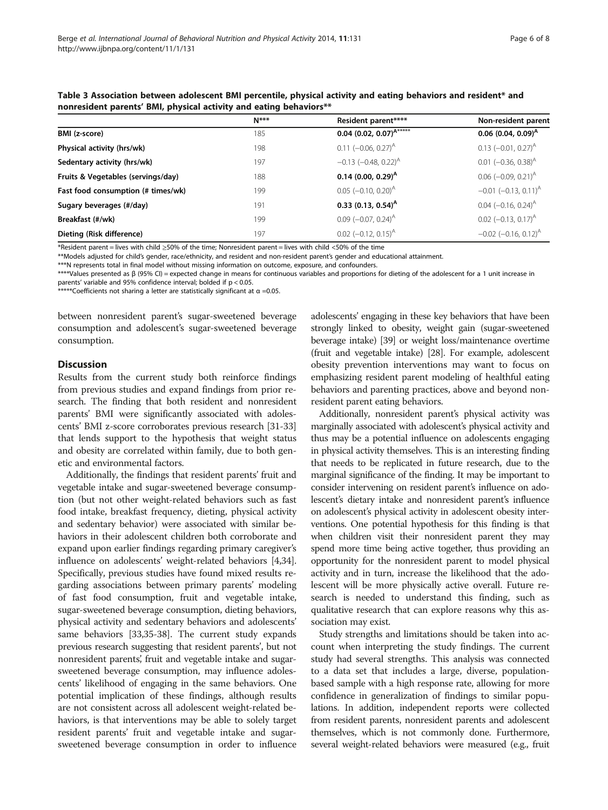|                                    | $N***$ | Resident parent*****               | Non-resident parent                |  |
|------------------------------------|--------|------------------------------------|------------------------------------|--|
| BMI (z-score)                      | 185    | 0.04 $(0.02, 0.07)^{A****}$        | $0.06$ (0.04, 0.09) <sup>A</sup>   |  |
| Physical activity (hrs/wk)         | 198    | $0.11$ (-0.06, 0.27) <sup>A</sup>  | $0.13$ (-0.01, 0.27) <sup>A</sup>  |  |
| Sedentary activity (hrs/wk)        | 197    | $-0.13$ (-0.48, 0.22) <sup>A</sup> | $0.01$ (-0.36, 0.38) <sup>A</sup>  |  |
| Fruits & Vegetables (servings/day) | 188    | $0.14$ (0.00, 0.29) <sup>A</sup>   | $0.06$ (-0.09, 0.21) <sup>A</sup>  |  |
| Fast food consumption (# times/wk) | 199    | $0.05$ (-0.10, 0.20) <sup>A</sup>  | $-0.01$ $(-0.13, 0.11)^{A}$        |  |
| Sugary beverages (#/day)           | 191    | $0.33$ (0.13, 0.54) <sup>A</sup>   | $0.04$ (-0.16, 0.24) <sup>A</sup>  |  |
| Breakfast (#/wk)                   | 199    | $0.09$ (-0.07, 0.24) <sup>A</sup>  | $0.02$ (-0.13, 0.17) <sup>A</sup>  |  |
| Dieting (Risk difference)          | 197    | $0.02$ (-0.12, 0.15) <sup>A</sup>  | $-0.02$ (-0.16, 0.12) <sup>A</sup> |  |
|                                    |        |                                    |                                    |  |

<span id="page-5-0"></span>Table 3 Association between adolescent BMI percentile, physical activity and eating behaviors and resident\* and nonresident parents' BMI, physical activity and eating behaviors\*\*

\*Resident parent = lives with child ≥50% of the time; Nonresident parent = lives with child <50% of the time

\*\*Models adjusted for child's gender, race/ethnicity, and resident and non-resident parent's gender and educational attainment.

\*\*\*N represents total in final model without missing information on outcome, exposure, and confounders.

\*\*\*\*Values presented as β (95% CI) = expected change in means for continuous variables and proportions for dieting of the adolescent for a 1 unit increase in parents' variable and 95% confidence interval; bolded if p < 0.05.

\*\*\*\*\*Coefficients not sharing a letter are statistically significant at  $\alpha = 0.05$ .

between nonresident parent's sugar-sweetened beverage consumption and adolescent's sugar-sweetened beverage consumption.

### **Discussion**

Results from the current study both reinforce findings from previous studies and expand findings from prior research. The finding that both resident and nonresident parents' BMI were significantly associated with adolescents' BMI z-score corroborates previous research [[31](#page-7-0)-[33](#page-7-0)] that lends support to the hypothesis that weight status and obesity are correlated within family, due to both genetic and environmental factors.

Additionally, the findings that resident parents' fruit and vegetable intake and sugar-sweetened beverage consumption (but not other weight-related behaviors such as fast food intake, breakfast frequency, dieting, physical activity and sedentary behavior) were associated with similar behaviors in their adolescent children both corroborate and expand upon earlier findings regarding primary caregiver's influence on adolescents' weight-related behaviors [[4,](#page-6-0)[34](#page-7-0)]. Specifically, previous studies have found mixed results regarding associations between primary parents' modeling of fast food consumption, fruit and vegetable intake, sugar-sweetened beverage consumption, dieting behaviors, physical activity and sedentary behaviors and adolescents' same behaviors [\[33,35-38\]](#page-7-0). The current study expands previous research suggesting that resident parents', but not nonresident parents', fruit and vegetable intake and sugarsweetened beverage consumption, may influence adolescents' likelihood of engaging in the same behaviors. One potential implication of these findings, although results are not consistent across all adolescent weight-related behaviors, is that interventions may be able to solely target resident parents' fruit and vegetable intake and sugarsweetened beverage consumption in order to influence adolescents' engaging in these key behaviors that have been strongly linked to obesity, weight gain (sugar-sweetened beverage intake) [\[39\]](#page-7-0) or weight loss/maintenance overtime (fruit and vegetable intake) [\[28](#page-7-0)]. For example, adolescent obesity prevention interventions may want to focus on emphasizing resident parent modeling of healthful eating behaviors and parenting practices, above and beyond nonresident parent eating behaviors.

Additionally, nonresident parent's physical activity was marginally associated with adolescent's physical activity and thus may be a potential influence on adolescents engaging in physical activity themselves. This is an interesting finding that needs to be replicated in future research, due to the marginal significance of the finding. It may be important to consider intervening on resident parent's influence on adolescent's dietary intake and nonresident parent's influence on adolescent's physical activity in adolescent obesity interventions. One potential hypothesis for this finding is that when children visit their nonresident parent they may spend more time being active together, thus providing an opportunity for the nonresident parent to model physical activity and in turn, increase the likelihood that the adolescent will be more physically active overall. Future research is needed to understand this finding, such as qualitative research that can explore reasons why this association may exist.

Study strengths and limitations should be taken into account when interpreting the study findings. The current study had several strengths. This analysis was connected to a data set that includes a large, diverse, populationbased sample with a high response rate, allowing for more confidence in generalization of findings to similar populations. In addition, independent reports were collected from resident parents, nonresident parents and adolescent themselves, which is not commonly done. Furthermore, several weight-related behaviors were measured (e.g., fruit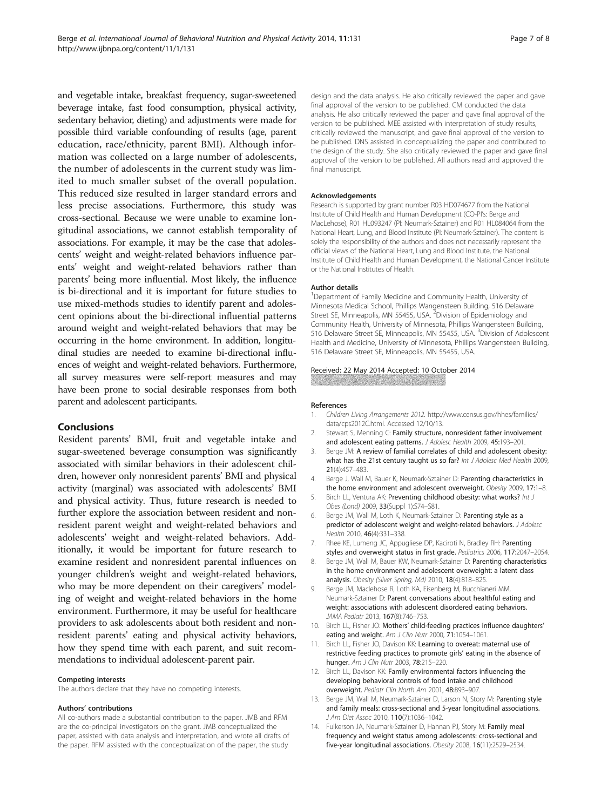<span id="page-6-0"></span>and vegetable intake, breakfast frequency, sugar-sweetened beverage intake, fast food consumption, physical activity, sedentary behavior, dieting) and adjustments were made for possible third variable confounding of results (age, parent education, race/ethnicity, parent BMI). Although information was collected on a large number of adolescents, the number of adolescents in the current study was limited to much smaller subset of the overall population. This reduced size resulted in larger standard errors and less precise associations. Furthermore, this study was cross-sectional. Because we were unable to examine longitudinal associations, we cannot establish temporality of associations. For example, it may be the case that adolescents' weight and weight-related behaviors influence parents' weight and weight-related behaviors rather than parents' being more influential. Most likely, the influence is bi-directional and it is important for future studies to use mixed-methods studies to identify parent and adolescent opinions about the bi-directional influential patterns around weight and weight-related behaviors that may be occurring in the home environment. In addition, longitudinal studies are needed to examine bi-directional influences of weight and weight-related behaviors. Furthermore, all survey measures were self-report measures and may have been prone to social desirable responses from both parent and adolescent participants.

# **Conclusions**

Resident parents' BMI, fruit and vegetable intake and sugar-sweetened beverage consumption was significantly associated with similar behaviors in their adolescent children, however only nonresident parents' BMI and physical activity (marginal) was associated with adolescents' BMI and physical activity. Thus, future research is needed to further explore the association between resident and nonresident parent weight and weight-related behaviors and adolescents' weight and weight-related behaviors. Additionally, it would be important for future research to examine resident and nonresident parental influences on younger children's weight and weight-related behaviors, who may be more dependent on their caregivers' modeling of weight and weight-related behaviors in the home environment. Furthermore, it may be useful for healthcare providers to ask adolescents about both resident and nonresident parents' eating and physical activity behaviors, how they spend time with each parent, and suit recommendations to individual adolescent-parent pair.

#### Competing interests

The authors declare that they have no competing interests.

#### Authors' contributions

All co-authors made a substantial contribution to the paper. JMB and RFM are the co-principal investigators on the grant. JMB conceptualized the paper, assisted with data analysis and interpretation, and wrote all drafts of the paper. RFM assisted with the conceptualization of the paper, the study

design and the data analysis. He also critically reviewed the paper and gave final approval of the version to be published. CM conducted the data analysis. He also critically reviewed the paper and gave final approval of the version to be published. MEE assisted with interpretation of study results, critically reviewed the manuscript, and gave final approval of the version to be published. DNS assisted in conceptualizing the paper and contributed to the design of the study. She also critically reviewed the paper and gave final approval of the version to be published. All authors read and approved the final manuscript.

#### Acknowledgements

Research is supported by grant number R03 HD074677 from the National Institute of Child Health and Human Development (CO-PI's: Berge and MacLehose), R01 HL093247 (PI: Neumark-Sztainer) and R01 HL084064 from the National Heart, Lung, and Blood Institute (PI: Neumark-Sztainer). The content is solely the responsibility of the authors and does not necessarily represent the official views of the National Heart, Lung and Blood Institute, the National Institute of Child Health and Human Development, the National Cancer Institute or the National Institutes of Health.

#### Author details

<sup>1</sup>Department of Family Medicine and Community Health, University of Minnesota Medical School, Phillips Wangensteen Building, 516 Delaware Street SE, Minneapolis, MN 55455, USA. <sup>2</sup>Division of Epidemiology and Community Health, University of Minnesota, Phillips Wangensteen Building, 516 Delaware Street SE, Minneapolis, MN 55455, USA. <sup>3</sup> Division of Adolescent Health and Medicine, University of Minnesota, Phillips Wangensteen Building, 516 Delaware Street SE, Minneapolis, MN 55455, USA.

#### Received: 22 May 2014 Accepted: 10 October 2014

#### References

- 1. Children Living Arrangements 2012. [http://www.census.gov/hhes/families/](http://www.census.gov/hhes/families/data/cps2012C.html) [data/cps2012C.html](http://www.census.gov/hhes/families/data/cps2012C.html). Accessed 12/10/13.
- 2. Stewart S, Menning C: Family structure, nonresident father involvement and adolescent eating patterns. J Adolesc Health 2009, 45:193-201.
- 3. Berge JM: A review of familial correlates of child and adolescent obesity: what has the 21st century taught us so far? Int J Adolesc Med Health 2009, 21(4):457–483.
- 4. Berge J, Wall M, Bauer K, Neumark-Sztainer D: Parenting characteristics in the home environment and adolescent overweight. Obesity 2009, 17:1-8.
- 5. Birch LL, Ventura AK: Preventing childhood obesity: what works? Int J Obes (Lond) 2009, 33(Suppl 1):S74–S81.
- 6. Berge JM, Wall M, Loth K, Neumark-Sztainer D: Parenting style as a predictor of adolescent weight and weight-related behaviors. J Adolesc Health 2010, 46(4):331-338.
- 7. Rhee KE, Lumeng JC, Appugliese DP, Kaciroti N, Bradley RH: Parenting styles and overweight status in first grade. Pediatrics 2006, 117:2047–2054.
- 8. Berge JM, Wall M, Bauer KW, Neumark-Sztainer D: Parenting characteristics in the home environment and adolescent overweight: a latent class analysis. Obesity (Silver Spring, Md) 2010, 18(4):818–825.
- 9. Berge JM, Maclehose R, Loth KA, Eisenberg M, Bucchianeri MM, Neumark-Sztainer D: Parent conversations about healthful eating and weight: associations with adolescent disordered eating behaviors. JAMA Pediatr 2013, 167(8):746–753.
- 10. Birch LL, Fisher JO: Mothers' child-feeding practices influence daughters' eating and weight. Am J Clin Nutr 2000, 71:1054-1061.
- 11. Birch LL, Fisher JO, Davison KK: Learning to overeat: maternal use of restrictive feeding practices to promote girls' eating in the absence of hunger. Am J Clin Nutr 2003, 78:215–220.
- 12. Birch LL, Davison KK: Family environmental factors influencing the developing behavioral controls of food intake and childhood overweight. Pediatr Clin North Am 2001, 48:893-907
- 13. Berge JM, Wall M, Neumark-Sztainer D, Larson N, Story M: Parenting style and family meals: cross-sectional and 5-year longitudinal associations. J Am Diet Assoc 2010, 110(7):1036–1042.
- 14. Fulkerson JA, Neumark-Sztainer D, Hannan PJ, Story M: Family meal frequency and weight status among adolescents: cross-sectional and five-year longitudinal associations. Obesity 2008, 16(11):2529–2534.